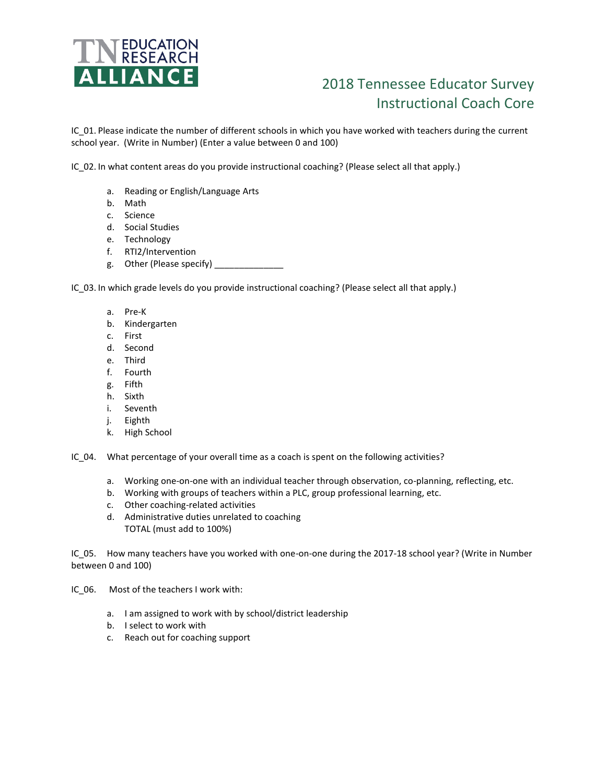

## 2018 Tennessee Educator Survey Instructional Coach Core

IC\_01. Please indicate the number of different schools in which you have worked with teachers during the current school year. (Write in Number) (Enter a value between 0 and 100)

IC\_02. In what content areas do you provide instructional coaching? (Please select all that apply.)

- a. Reading or English/Language Arts
- b. Math
- c. Science
- d. Social Studies
- e. Technology
- f. RTI2/Intervention
- g. Other (Please specify) \_\_\_\_\_\_\_\_\_\_\_\_\_\_\_\_

IC 03. In which grade levels do you provide instructional coaching? (Please select all that apply.)

- a. Pre-K
- b. Kindergarten
- c. First
- d. Second
- e. Third
- f. Fourth
- g. Fifth
- h. Sixth
- i. Seventh
- j. Eighth
- k. High School

IC 04. What percentage of your overall time as a coach is spent on the following activities?

- a. Working one-on-one with an individual teacher through observation, co-planning, reflecting, etc.
- b. Working with groups of teachers within a PLC, group professional learning, etc.
- c. Other coaching-related activities
- d. Administrative duties unrelated to coaching TOTAL (must add to 100%)

IC 05. How many teachers have you worked with one-on-one during the 2017-18 school year? (Write in Number between 0 and 100)

- IC 06. Most of the teachers I work with:
	- a. I am assigned to work with by school/district leadership
	- b. I select to work with
	- c. Reach out for coaching support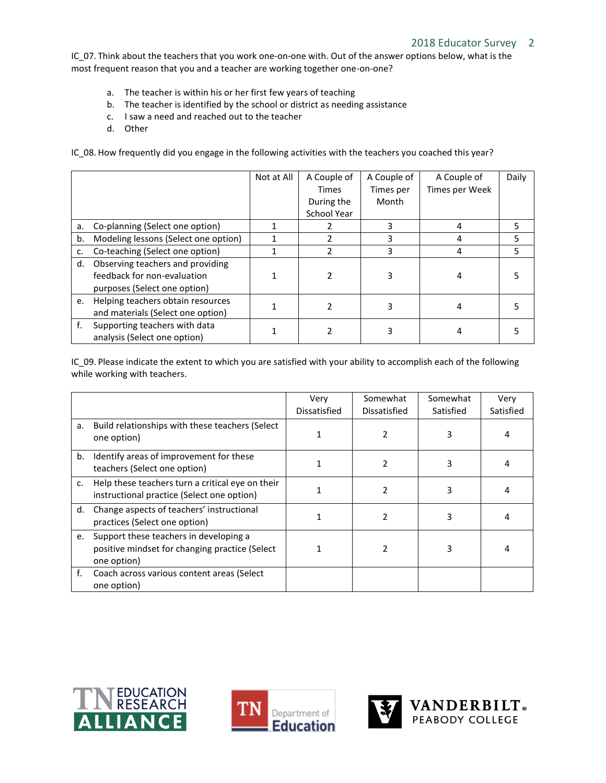IC\_07. Think about the teachers that you work one-on-one with. Out of the answer options below, what is the most frequent reason that you and a teacher are working together one-on-one?

- a. The teacher is within his or her first few years of teaching
- b. The teacher is identified by the school or district as needing assistance
- c. I saw a need and reached out to the teacher
- d. Other

IC 08. How frequently did you engage in the following activities with the teachers you coached this year?

|    |                                      | Not at All | A Couple of | A Couple of | A Couple of    | Daily |
|----|--------------------------------------|------------|-------------|-------------|----------------|-------|
|    |                                      |            | Times       | Times per   | Times per Week |       |
|    |                                      |            | During the  | Month       |                |       |
|    |                                      |            | School Year |             |                |       |
| a. | Co-planning (Select one option)      |            |             | 3           | 4              |       |
| b. | Modeling lessons (Select one option) |            |             | 3           |                |       |
| c. | Co-teaching (Select one option)      |            |             | 3           | 4              |       |
| d. | Observing teachers and providing     |            |             |             |                |       |
|    | feedback for non-evaluation          |            |             | 3           |                |       |
|    | purposes (Select one option)         |            |             |             |                |       |
| e. | Helping teachers obtain resources    |            |             | 3           |                |       |
|    | and materials (Select one option)    |            |             |             |                |       |
| f. | Supporting teachers with data        |            |             |             |                |       |
|    | analysis (Select one option)         |            |             |             |                |       |

IC\_09. Please indicate the extent to which you are satisfied with your ability to accomplish each of the following while working with teachers.

|               |                                                                                                         | Very<br>Dissatisfied | Somewhat<br>Dissatisfied | Somewhat<br>Satisfied | Very<br>Satisfied |
|---------------|---------------------------------------------------------------------------------------------------------|----------------------|--------------------------|-----------------------|-------------------|
| a.            | Build relationships with these teachers (Select<br>one option)                                          |                      |                          |                       |                   |
| b.            | Identify areas of improvement for these<br>teachers (Select one option)                                 |                      |                          |                       |                   |
| $C_{\bullet}$ | Help these teachers turn a critical eye on their<br>instructional practice (Select one option)          |                      |                          |                       |                   |
| d.            | Change aspects of teachers' instructional<br>practices (Select one option)                              |                      |                          |                       |                   |
| e.            | Support these teachers in developing a<br>positive mindset for changing practice (Select<br>one option) |                      |                          |                       |                   |
| f.            | Coach across various content areas (Select<br>one option)                                               |                      |                          |                       |                   |





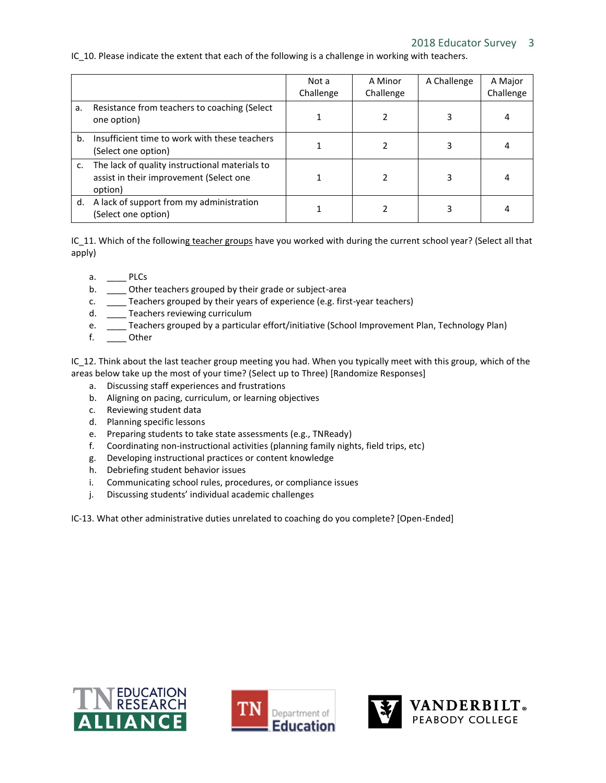## 2018 Educator Survey 3

## IC\_10. Please indicate the extent that each of the following is a challenge in working with teachers.

|    |                                                                                                      | Not a<br>Challenge | A Minor<br>Challenge | A Challenge | A Major<br>Challenge |
|----|------------------------------------------------------------------------------------------------------|--------------------|----------------------|-------------|----------------------|
| a. | Resistance from teachers to coaching (Select)<br>one option)                                         |                    |                      |             | 4                    |
| b. | Insufficient time to work with these teachers<br>(Select one option)                                 |                    |                      |             |                      |
| c. | The lack of quality instructional materials to<br>assist in their improvement (Select one<br>option) |                    |                      |             | 4                    |
| d. | A lack of support from my administration<br>(Select one option)                                      |                    |                      |             |                      |

IC\_11. Which of the following teacher groups have you worked with during the current school year? (Select all that apply)

- a. \_\_\_\_ PLCs
- b. Other teachers grouped by their grade or subject-area
- c. \_\_\_\_ Teachers grouped by their years of experience (e.g. first-year teachers)
- d. \_\_\_\_ Teachers reviewing curriculum
- e. \_\_\_\_ Teachers grouped by a particular effort/initiative (School Improvement Plan, Technology Plan)
- f. \_\_\_\_ Other

IC\_12. Think about the last teacher group meeting you had. When you typically meet with this group, which of the areas below take up the most of your time? (Select up to Three) [Randomize Responses]

- a. Discussing staff experiences and frustrations
- b. Aligning on pacing, curriculum, or learning objectives
- c. Reviewing student data
- d. Planning specific lessons
- e. Preparing students to take state assessments (e.g., TNReady)
- f. Coordinating non-instructional activities (planning family nights, field trips, etc)
- g. Developing instructional practices or content knowledge
- h. Debriefing student behavior issues
- i. Communicating school rules, procedures, or compliance issues
- j. Discussing students' individual academic challenges

IC-13. What other administrative duties unrelated to coaching do you complete? [Open-Ended]





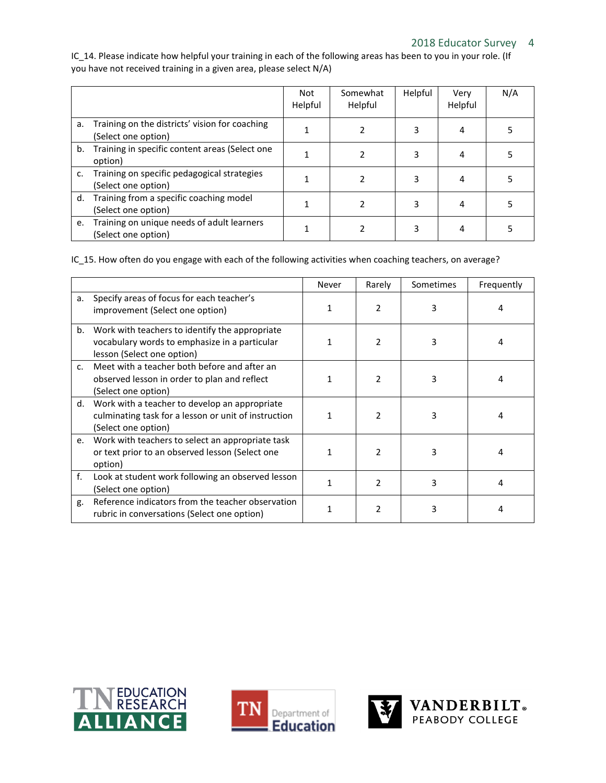## 2018 Educator Survey 4

IC\_14. Please indicate how helpful your training in each of the following areas has been to you in your role. (If you have not received training in a given area, please select N/A)

|    |                                                                       | Not<br>Helpful | Somewhat<br>Helpful | Helpful | Very<br>Helpful | N/A |
|----|-----------------------------------------------------------------------|----------------|---------------------|---------|-----------------|-----|
| a. | Training on the districts' vision for coaching<br>(Select one option) |                |                     |         |                 |     |
|    | b. Training in specific content areas (Select one<br>option)          |                |                     |         |                 |     |
| c. | Training on specific pedagogical strategies<br>(Select one option)    |                |                     |         |                 |     |
| d. | Training from a specific coaching model<br>(Select one option)        |                |                     |         |                 |     |
| e. | Training on unique needs of adult learners<br>(Select one option)     |                |                     |         |                 |     |

IC\_15. How often do you engage with each of the following activities when coaching teachers, on average?

|    |                                                                                                                               | Never | Rarely        | Sometimes | Frequently |
|----|-------------------------------------------------------------------------------------------------------------------------------|-------|---------------|-----------|------------|
| a. | Specify areas of focus for each teacher's<br>improvement (Select one option)                                                  |       |               | 3         |            |
| b. | Work with teachers to identify the appropriate<br>vocabulary words to emphasize in a particular<br>lesson (Select one option) |       | 2             | 3         |            |
| c. | Meet with a teacher both before and after an<br>observed lesson in order to plan and reflect<br>(Select one option)           |       |               | 3         |            |
| d. | Work with a teacher to develop an appropriate<br>culminating task for a lesson or unit of instruction<br>(Select one option)  |       | 2             | 3         | 4          |
| e. | Work with teachers to select an appropriate task<br>or text prior to an observed lesson (Select one<br>option)                |       |               | 3         |            |
| f. | Look at student work following an observed lesson<br>(Select one option)                                                      |       | $\mathfrak z$ | 3         | 4          |
| g. | Reference indicators from the teacher observation<br>rubric in conversations (Select one option)                              |       | 2             | 3         | 4          |